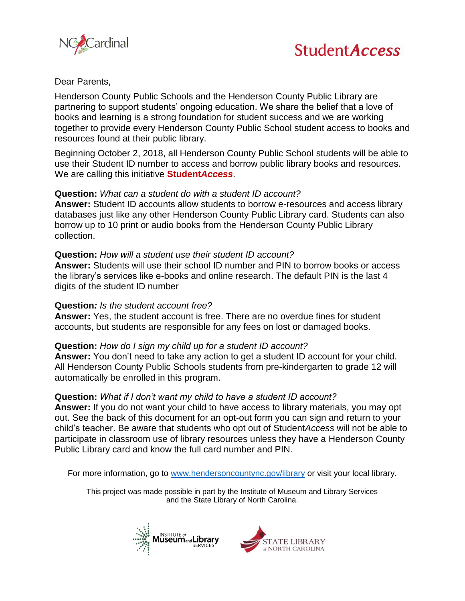



Dear Parents,

 books and learning is a strong foundation for student success and we are working Henderson County Public Schools and the Henderson County Public Library are partnering to support students' ongoing education. We share the belief that a love of together to provide every Henderson County Public School student access to books and resources found at their public library.

Beginning October 2, 2018, all Henderson County Public School students will be able to use their Student ID number to access and borrow public library books and resources. We are calling this initiative **Student***Access*.

### **Question:** *What can a student do with a student ID account?*

 borrow up to 10 print or audio books from the Henderson County Public Library **Answer:** Student ID accounts allow students to borrow e-resources and access library databases just like any other Henderson County Public Library card. Students can also collection.

### **Question:** *How will a student use their student ID account?*

 the library's services like e-books and online research. The default PIN is the last 4 **Answer:** Students will use their school ID number and PIN to borrow books or access digits of the student ID number

#### **Question***: Is the student account free?*

 **Answer:** Yes, the student account is free. There are no overdue fines for student accounts, but students are responsible for any fees on lost or damaged books.

# **Question:** *How do I sign my child up for a student ID account?*

**Answer:** You don't need to take any action to get a student ID account for your child. All Henderson County Public Schools students from pre-kindergarten to grade 12 will automatically be enrolled in this program.

# **Question:** *What if I don't want my child to have a student ID account?*

 **Answer:** If you do not want your child to have access to library materials, you may opt out. See the back of this document for an opt-out form you can sign and return to your child's teacher. Be aware that students who opt out of Student*Access* will not be able to participate in classroom use of library resources unless they have a Henderson County Public Library card and know the full card number and PIN.

For more information, go to [www.hendersoncountync.gov/library](http://www.hendersoncountync.gov/library) or visit your local library.

This project was made possible in part by the Institute of Museum and Library Services and the State Library of North Carolina.